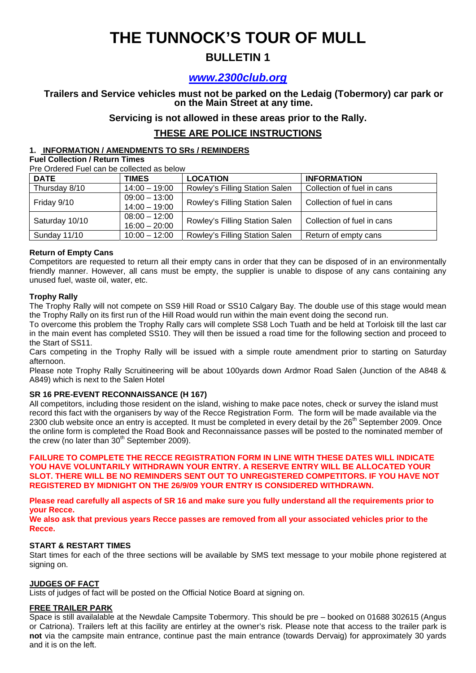## **THE TUNNOCK'S TOUR OF MULL**

## **BULLETIN 1**

### *www.2300club.org*

# **Trailers and Service vehicles must not be parked on the Ledaig (Tobermory) car park or on the Main Street at any time.**

**Servicing is not allowed in these areas prior to the Rally.** 

### **THESE ARE POLICE INSTRUCTIONS**

#### **1. INFORMATION / AMENDMENTS TO SRs / REMINDERS**

**Fuel Collection / Return Times** 

Pre Ordered Fuel can be collected as below

| <b>DATE</b>    | <b>TIMES</b>                       | <b>LOCATION</b>                | <b>INFORMATION</b>         |
|----------------|------------------------------------|--------------------------------|----------------------------|
| Thursday 8/10  | $14:00 - 19:00$                    | Rowley's Filling Station Salen | Collection of fuel in cans |
| Friday 9/10    | $09:00 - 13:00$<br>$14:00 - 19:00$ | Rowley's Filling Station Salen | Collection of fuel in cans |
| Saturday 10/10 | $08:00 - 12:00$<br>$16:00 - 20:00$ | Rowley's Filling Station Salen | Collection of fuel in cans |
| Sunday 11/10   | $10:00 - 12:00$                    | Rowley's Filling Station Salen | Return of empty cans       |

#### **Return of Empty Cans**

Competitors are requested to return all their empty cans in order that they can be disposed of in an environmentally friendly manner. However, all cans must be empty, the supplier is unable to dispose of any cans containing any unused fuel, waste oil, water, etc.

#### **Trophy Rally**

The Trophy Rally will not compete on SS9 Hill Road or SS10 Calgary Bay. The double use of this stage would mean the Trophy Rally on its first run of the Hill Road would run within the main event doing the second run.

To overcome this problem the Trophy Rally cars will complete SS8 Loch Tuath and be held at Torloisk till the last car in the main event has completed SS10. They will then be issued a road time for the following section and proceed to the Start of SS11.

Cars competing in the Trophy Rally will be issued with a simple route amendment prior to starting on Saturday afternoon.

Please note Trophy Rally Scruitineering will be about 100yards down Ardmor Road Salen (Junction of the A848 & A849) which is next to the Salen Hotel

#### **SR 16 PRE-EVENT RECONNAISSANCE (H 167)**

All competitors, including those resident on the island, wishing to make pace notes, check or survey the island must record this fact with the organisers by way of the Recce Registration Form. The form will be made available via the 2300 club website once an entry is accepted. It must be completed in every detail by the 26<sup>th</sup> September 2009. Once the online form is completed the Road Book and Reconnaissance passes will be posted to the nominated member of the crew (no later than  $30<sup>th</sup>$  September 2009).

**FAILURE TO COMPLETE THE RECCE REGISTRATION FORM IN LINE WITH THESE DATES WILL INDICATE YOU HAVE VOLUNTARILY WITHDRAWN YOUR ENTRY. A RESERVE ENTRY WILL BE ALLOCATED YOUR SLOT. THERE WILL BE NO REMINDERS SENT OUT TO UNREGISTERED COMPETITORS. IF YOU HAVE NOT REGISTERED BY MIDNIGHT ON THE 26/9/09 YOUR ENTRY IS CONSIDERED WITHDRAWN.** 

**Please read carefully all aspects of SR 16 and make sure you fully understand all the requirements prior to your Recce.** 

**We also ask that previous years Recce passes are removed from all your associated vehicles prior to the Recce.**

#### **START & RESTART TIMES**

Start times for each of the three sections will be available by SMS text message to your mobile phone registered at signing on.

#### **JUDGES OF FACT**

Lists of judges of fact will be posted on the Official Notice Board at signing on.

#### **FREE TRAILER PARK**

Space is still availalable at the Newdale Campsite Tobermory. This should be pre – booked on 01688 302615 (Angus or Catriona). Trailers left at this facility are entirley at the owner's risk. Please note that access to the trailer park is **not** via the campsite main entrance, continue past the main entrance (towards Dervaig) for approximately 30 yards and it is on the left.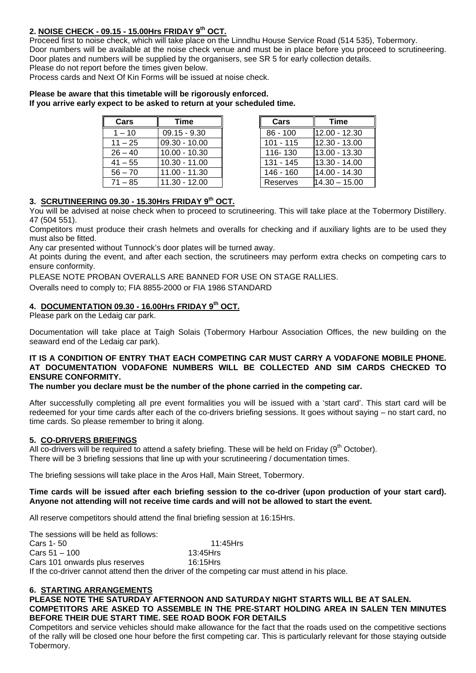#### **2. NOISE CHECK - 09.15 - 15.00Hrs FRIDAY 9th OCT.**

Proceed first to noise check, which will take place on the Linndhu House Service Road (514 535), Tobermory. Door numbers will be available at the noise check venue and must be in place before you proceed to scrutineering. Door plates and numbers will be supplied by the organisers, see SR 5 for early collection details. Please do not report before the times given below.

Process cards and Next Of Kin Forms will be issued at noise check.

## **Please be aware that this timetable will be rigorously enforced.**

**If you arrive early expect to be asked to return at your scheduled time.** 

| Cars      | <b>Time</b>     | Cars        | Time            |
|-----------|-----------------|-------------|-----------------|
| $1 - 10$  | $09.15 - 9.30$  | $86 - 100$  | 12.00 - 12.30   |
| $11 - 25$ | $09.30 - 10.00$ | $101 - 115$ | 12.30 - 13.00   |
| $26 - 40$ | $10.00 - 10.30$ | 116-130     | 13.00 - 13.30   |
| $41 - 55$ | $10.30 - 11.00$ | $131 - 145$ | 13.30 - 14.00   |
| $56 - 70$ | 11.00 - 11.30   | 146 - 160   | 14.00 - 14.30   |
| $71 - 85$ | $11.30 - 12.00$ | Reserves    | $14.30 - 15.00$ |

| Cars      | <b>Time</b>     |
|-----------|-----------------|
| 86 - 100  | 12.00 - 12.30   |
| 101 - 115 | 12.30 - 13.00   |
| 116-130   | 13.00 - 13.30   |
| 131 - 145 | 13.30 - 14.00   |
| 146 - 160 | 14.00 - 14.30   |
| Reserves  | $14.30 - 15.00$ |

#### **3. SCRUTINEERING 09.30 - 15.30Hrs FRIDAY 9th OCT.**

You will be advised at noise check when to proceed to scrutineering. This will take place at the Tobermory Distillery. 47 (504 551).

Competitors must produce their crash helmets and overalls for checking and if auxiliary lights are to be used they must also be fitted.

Any car presented without Tunnock's door plates will be turned away.

At points during the event, and after each section, the scrutineers may perform extra checks on competing cars to ensure conformity.

PLEASE NOTE PROBAN OVERALLS ARE BANNED FOR USE ON STAGE RALLIES.

Overalls need to comply to; FIA 8855-2000 or FIA 1986 STANDARD

#### **4. DOCUMENTATION 09.30 - 16.00Hrs FRIDAY 9th OCT.**

Please park on the Ledaig car park.

Documentation will take place at Taigh Solais (Tobermory Harbour Association Offices, the new building on the seaward end of the Ledaig car park).

#### **IT IS A CONDITION OF ENTRY THAT EACH COMPETING CAR MUST CARRY A VODAFONE MOBILE PHONE. AT DOCUMENTATION VODAFONE NUMBERS WILL BE COLLECTED AND SIM CARDS CHECKED TO ENSURE CONFORMITY.**

**The number you declare must be the number of the phone carried in the competing car.** 

After successfully completing all pre event formalities you will be issued with a 'start card'. This start card will be redeemed for your time cards after each of the co-drivers briefing sessions. It goes without saying – no start card, no time cards. So please remember to bring it along.

#### **5. CO-DRIVERS BRIEFINGS**

All co-drivers will be required to attend a safety briefing. These will be held on Friday ( $9<sup>th</sup>$  October). There will be 3 briefing sessions that line up with your scrutineering / documentation times.

The briefing sessions will take place in the Aros Hall, Main Street, Tobermory.

#### **Time cards will be issued after each briefing session to the co-driver (upon production of your start card). Anyone not attending will not receive time cards and will not be allowed to start the event.**

All reserve competitors should attend the final briefing session at 16:15Hrs.

The sessions will be held as follows:

Cars 1-50 11:45Hrs Cars 51 – 100 13:45Hrs Cars 101 onwards plus reserves 16:15Hrs If the co-driver cannot attend then the driver of the competing car must attend in his place.

#### **6. STARTING ARRANGEMENTS**

### **PLEASE NOTE THE SATURDAY AFTERNOON AND SATURDAY NIGHT STARTS WILL BE AT SALEN.**

**COMPETITORS ARE ASKED TO ASSEMBLE IN THE PRE-START HOLDING AREA IN SALEN TEN MINUTES BEFORE THEIR DUE START TIME. SEE ROAD BOOK FOR DETAILS** 

Competitors and service vehicles should make allowance for the fact that the roads used on the competitive sections of the rally will be closed one hour before the first competing car. This is particularly relevant for those staying outside Tobermory.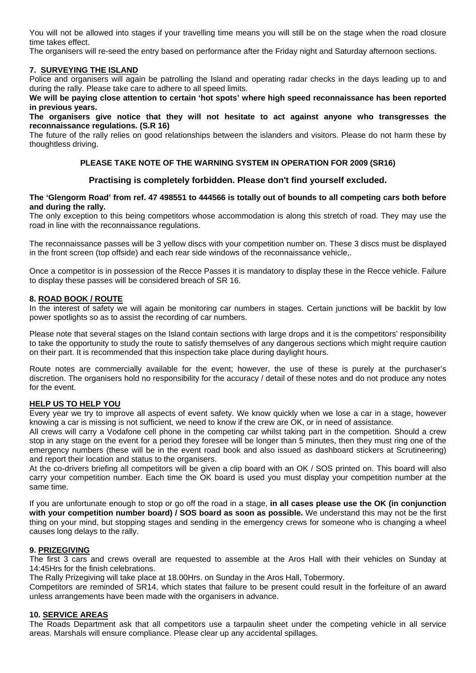You will not be allowed into stages if your travelling time means you will still be on the stage when the road closure time takes effect.

The organisers will re-seed the entry based on performance after the Friday night and Saturday afternoon sections.

#### **7. SURVEYING THE ISLAND**

Police and organisers will again be patrolling the Island and operating radar checks in the days leading up to and during the rally. Please take care to adhere to all speed limits.

**We will be paying close attention to certain 'hot spots' where high speed reconnaissance has been reported in previous years.** 

**The organisers give notice that they will not hesitate to act against anyone who transgresses the reconnaissance regulations. (S.R 16)** 

The future of the rally relies on good relationships between the islanders and visitors. Please do not harm these by thoughtless driving.

#### **PLEASE TAKE NOTE OF THE WARNING SYSTEM IN OPERATION FOR 2009 (SR16)**

#### **Practising is completely forbidden. Please don't find yourself excluded.**

#### **The 'Glengorm Road' from ref. 47 498551 to 444566 is totally out of bounds to all competing cars both before and during the rally.**

The only exception to this being competitors whose accommodation is along this stretch of road. They may use the road in line with the reconnaissance regulations.

The reconnaissance passes will be 3 yellow discs with your competition number on. These 3 discs must be displayed in the front screen (top offside) and each rear side windows of the reconnaissance vehicle,.

Once a competitor is in possession of the Recce Passes it is mandatory to display these in the Recce vehicle. Failure to display these passes will be considered breach of SR 16.

#### **8. ROAD BOOK / ROUTE**

In the interest of safety we will again be monitoring car numbers in stages. Certain junctions will be backlit by low power spotlights so as to assist the recording of car numbers.

Please note that several stages on the Island contain sections with large drops and it is the competitors' responsibility to take the opportunity to study the route to satisfy themselves of any dangerous sections which might require caution on their part. It is recommended that this inspection take place during daylight hours.

Route notes are commercially available for the event; however, the use of these is purely at the purchaser's discretion. The organisers hold no responsibility for the accuracy / detail of these notes and do not produce any notes for the event.

#### **HELP US TO HELP YOU**

Every year we try to improve all aspects of event safety. We know quickly when we lose a car in a stage, however knowing a car is missing is not sufficient, we need to know if the crew are OK, or in need of assistance.

All crews will carry a Vodafone cell phone in the competing car whilst taking part in the competition. Should a crew stop in any stage on the event for a period they foresee will be longer than 5 minutes, then they must ring one of the emergency numbers (these will be in the event road book and also issued as dashboard stickers at Scrutineering) and report their location and status to the organisers.

At the co-drivers briefing all competitors will be given a clip board with an OK / SOS printed on. This board will also carry your competition number. Each time the OK board is used you must display your competition number at the same time.

If you are unfortunate enough to stop or go off the road in a stage, **in all cases please use the OK (in conjunction with your competition number board) / SOS board as soon as possible.** We understand this may not be the first thing on your mind, but stopping stages and sending in the emergency crews for someone who is changing a wheel causes long delays to the rally.

#### **9. PRIZEGIVING**

The first 3 cars and crews overall are requested to assemble at the Aros Hall with their vehicles on Sunday at 14:45Hrs for the finish celebrations.

The Rally Prizegiving will take place at 18.00Hrs. on Sunday in the Aros Hall, Tobermory.

Competitors are reminded of SR14, which states that failure to be present could result in the forfeiture of an award unless arrangements have been made with the organisers in advance.

#### **10. SERVICE AREAS**

The Roads Department ask that all competitors use a tarpaulin sheet under the competing vehicle in all service areas. Marshals will ensure compliance. Please clear up any accidental spillages.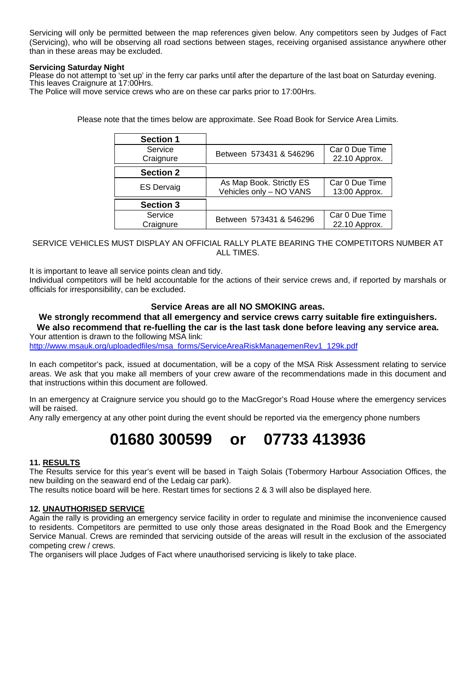Servicing will only be permitted between the map references given below. Any competitors seen by Judges of Fact (Servicing), who will be observing all road sections between stages, receiving organised assistance anywhere other than in these areas may be excluded.

#### **Servicing Saturday Night**

Please do not attempt to 'set up' in the ferry car parks until after the departure of the last boat on Saturday evening.<br>This leaves Craignure at 17:00Hrs.

The Police will move service crews who are on these car parks prior to 17:00Hrs.

Please note that the times below are approximate. See Road Book for Service Area Limits.

| <b>Section 1</b>     |                                                     |                                 |
|----------------------|-----------------------------------------------------|---------------------------------|
| Service<br>Craignure | Between 573431 & 546296                             | Car 0 Due Time<br>22.10 Approx. |
| <b>Section 2</b>     |                                                     |                                 |
| <b>ES Dervaig</b>    | As Map Book. Strictly ES<br>Vehicles only - NO VANS | Car 0 Due Time<br>13:00 Approx. |
| <b>Section 3</b>     |                                                     |                                 |
| Service<br>Craignure | Between 573431 & 546296                             | Car 0 Due Time<br>22.10 Approx. |

#### SERVICE VEHICLES MUST DISPLAY AN OFFICIAL RALLY PLATE BEARING THE COMPETITORS NUMBER AT **ALL TIMES**

It is important to leave all service points clean and tidy.

Individual competitors will be held accountable for the actions of their service crews and, if reported by marshals or officials for irresponsibility, can be excluded.

#### **Service Areas are all NO SMOKING areas.**

#### **We strongly recommend that all emergency and service crews carry suitable fire extinguishers. We also recommend that re-fuelling the car is the last task done before leaving any service area.**  Your attention is drawn to the following MSA link:

http://www.msauk.org/uploadedfiles/msa\_forms/ServiceAreaRiskManagemenRev1\_129k.pdf

In each competitor's pack, issued at documentation, will be a copy of the MSA Risk Assessment relating to service areas. We ask that you make all members of your crew aware of the recommendations made in this document and that instructions within this document are followed.

In an emergency at Craignure service you should go to the MacGregor's Road House where the emergency services will be raised.

Any rally emergency at any other point during the event should be reported via the emergency phone numbers

## **01680 300599 or 07733 413936**

#### **11. RESULTS**

The Results service for this year's event will be based in Taigh Solais (Tobermory Harbour Association Offices, the new building on the seaward end of the Ledaig car park).

The results notice board will be here. Restart times for sections 2 & 3 will also be displayed here.

#### **12. UNAUTHORISED SERVICE**

Again the rally is providing an emergency service facility in order to regulate and minimise the inconvenience caused to residents. Competitors are permitted to use only those areas designated in the Road Book and the Emergency Service Manual. Crews are reminded that servicing outside of the areas will result in the exclusion of the associated competing crew / crews.

The organisers will place Judges of Fact where unauthorised servicing is likely to take place.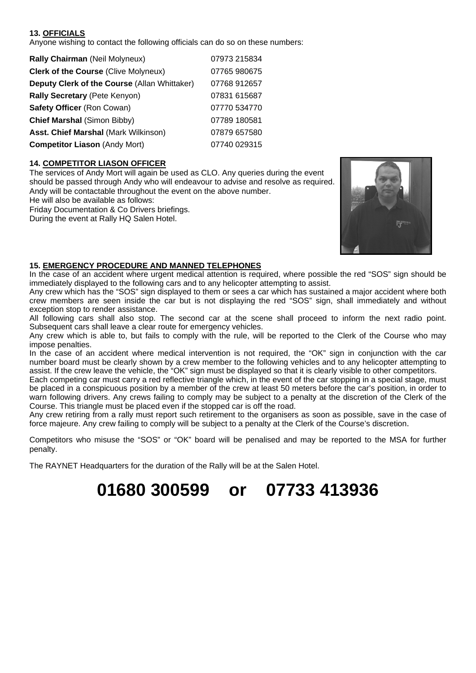#### **13. OFFICIALS**

Anyone wishing to contact the following officials can do so on these numbers:

| Rally Chairman (Neil Molyneux)               | 07973 215834 |
|----------------------------------------------|--------------|
| <b>Clerk of the Course (Clive Molyneux)</b>  | 07765 980675 |
| Deputy Clerk of the Course (Allan Whittaker) | 07768 912657 |
| Rally Secretary (Pete Kenyon)                | 07831 615687 |
| Safety Officer (Ron Cowan)                   | 07770 534770 |
| <b>Chief Marshal (Simon Bibby)</b>           | 07789 180581 |
| Asst. Chief Marshal (Mark Wilkinson)         | 07879 657580 |
| <b>Competitor Liason (Andy Mort)</b>         | 07740 029315 |

#### **14. COMPETITOR LIASON OFFICER**

The services of Andy Mort will again be used as CLO. Any queries during the event should be passed through Andy who will endeavour to advise and resolve as required. Andy will be contactable throughout the event on the above number.

He will also be available as follows:

Friday Documentation & Co Drivers briefings.

During the event at Rally HQ Salen Hotel.



#### **15. EMERGENCY PROCEDURE AND MANNED TELEPHONES**

In the case of an accident where urgent medical attention is required, where possible the red "SOS" sign should be immediately displayed to the following cars and to any helicopter attempting to assist.

Any crew which has the "SOS" sign displayed to them or sees a car which has sustained a major accident where both crew members are seen inside the car but is not displaying the red "SOS" sign, shall immediately and without exception stop to render assistance.

All following cars shall also stop. The second car at the scene shall proceed to inform the next radio point. Subsequent cars shall leave a clear route for emergency vehicles.

Any crew which is able to, but fails to comply with the rule, will be reported to the Clerk of the Course who may impose penalties.

In the case of an accident where medical intervention is not required, the "OK" sign in conjunction with the car number board must be clearly shown by a crew member to the following vehicles and to any helicopter attempting to assist. If the crew leave the vehicle, the "OK" sign must be displayed so that it is clearly visible to other competitors.

Each competing car must carry a red reflective triangle which, in the event of the car stopping in a special stage, must be placed in a conspicuous position by a member of the crew at least 50 meters before the car's position, in order to warn following drivers. Any crews failing to comply may be subject to a penalty at the discretion of the Clerk of the Course. This triangle must be placed even if the stopped car is off the road.

Any crew retiring from a rally must report such retirement to the organisers as soon as possible, save in the case of force majeure. Any crew failing to comply will be subject to a penalty at the Clerk of the Course's discretion.

Competitors who misuse the "SOS" or "OK" board will be penalised and may be reported to the MSA for further penalty.

The RAYNET Headquarters for the duration of the Rally will be at the Salen Hotel.

## **01680 300599 or 07733 413936**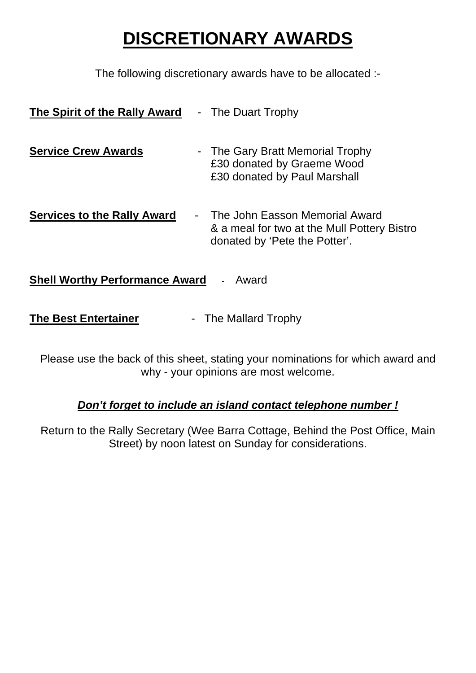# **DISCRETIONARY AWARDS**

The following discretionary awards have to be allocated :-

| The Spirit of the Rally Award      | - The Duart Trophy                                                                                             |
|------------------------------------|----------------------------------------------------------------------------------------------------------------|
| <b>Service Crew Awards</b>         | - The Gary Bratt Memorial Trophy<br>£30 donated by Graeme Wood<br>£30 donated by Paul Marshall                 |
| <b>Services to the Rally Award</b> | The John Easson Memorial Award<br>& a meal for two at the Mull Pottery Bistro<br>donated by 'Pete the Potter'. |

**Shell Worthy Performance Award** - Award

**The Best Entertainer** - The Mallard Trophy

Please use the back of this sheet, stating your nominations for which award and why - your opinions are most welcome.

## *Don't forget to include an island contact telephone number !*

Return to the Rally Secretary (Wee Barra Cottage, Behind the Post Office, Main Street) by noon latest on Sunday for considerations.